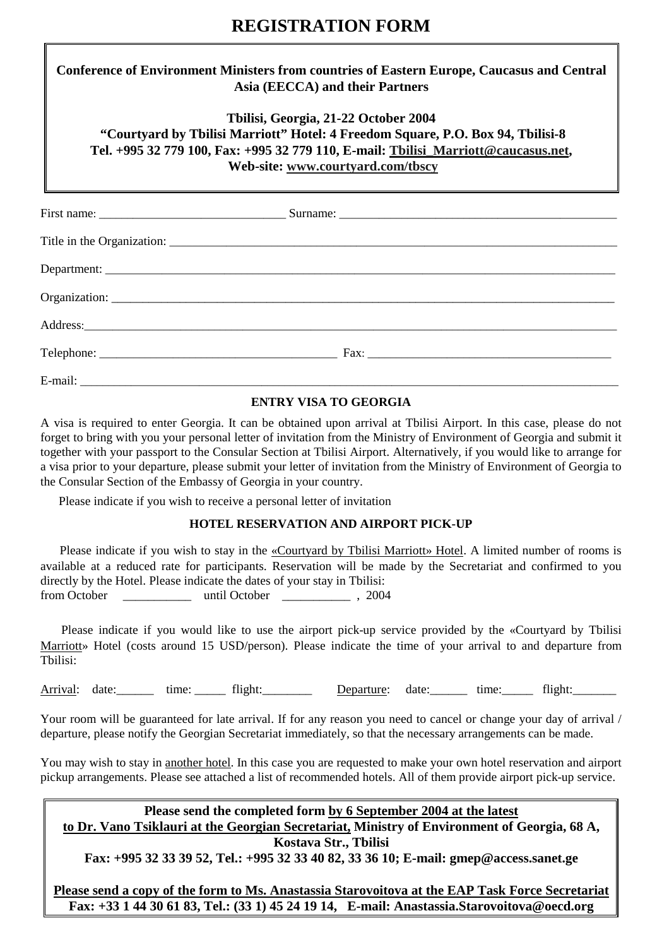## **REGISTRATION FORM**

### **Conference of Environment Ministers from countries of Eastern Europe, Caucasus and Central Asia (EECCA) and their Partners**

### **Tbilisi, Georgia, 21-22 October 2004 "Courtyard by Tbilisi Marriott" Hotel: 4 Freedom Square, P.O. Box 94, Tbilisi-8**

**Tel. +995 32 779 100, Fax: +995 32 779 110, E-mail: Tbilisi\_Marriott@caucasus.net,** 

 **Web-site: www.courtyard.com/tbscy**

#### **ENTRY VISA TO GEORGIA**

A visa is required to enter Georgia. It can be obtained upon arrival at Tbilisi Airport. In this case, please do not forget to bring with you your personal letter of invitation from the Ministry of Environment of Georgia and submit it together with your passport to the Consular Section at Tbilisi Airport. Alternatively, if you would like to arrange for a visa prior to your departure, please submit your letter of invitation from the Ministry of Environment of Georgia to the Consular Section of the Embassy of Georgia in your country.

Please indicate if you wish to receive a personal letter of invitation

#### **HOTEL RESERVATION AND AIRPORT PICK-UP**

 Please indicate if you wish to stay in the «Courtyard by Tbilisi Marriott» Hotel. A limited number of rooms is available at a reduced rate for participants. Reservation will be made by the Secretariat and confirmed to you directly by the Hotel. Please indicate the dates of your stay in Tbilisi: from October \_\_\_\_\_\_\_\_\_\_\_ until October \_\_\_\_\_\_\_\_\_\_\_ , 2004

 Please indicate if you would like to use the airport pick-up service provided by the «Courtyard by Tbilisi Marriott» Hotel (costs around 15 USD/person). Please indicate the time of your arrival to and departure from Tbilisi:

Arrival: date: ime: ime: flight: 0ate: Departure: date: ime: flight: flight:

Your room will be guaranteed for late arrival. If for any reason you need to cancel or change your day of arrival / departure, please notify the Georgian Secretariat immediately, so that the necessary arrangements can be made.

You may wish to stay in another hotel. In this case you are requested to make your own hotel reservation and airport pickup arrangements. Please see attached a list of recommended hotels. All of them provide airport pick-up service.

**Please send the completed form by 6 September 2004 at the latest** 

**to Dr. Vano Tsiklauri at the Georgian Secretariat, Ministry of Environment of Georgia, 68 A, Kostava Str., Tbilisi** 

**Fax: +995 32 33 39 52, Tel.: +995 32 33 40 82, 33 36 10; E-mail: gmep@access.sanet.ge** 

**Please send a copy of the form to Ms. Anastassia Starovoitova at the EAP Task Force Secretariat Fax: +33 1 44 30 61 83, Tel.: (33 1) 45 24 19 14, E-mail: Anastassia.Starovoitova@oecd.org**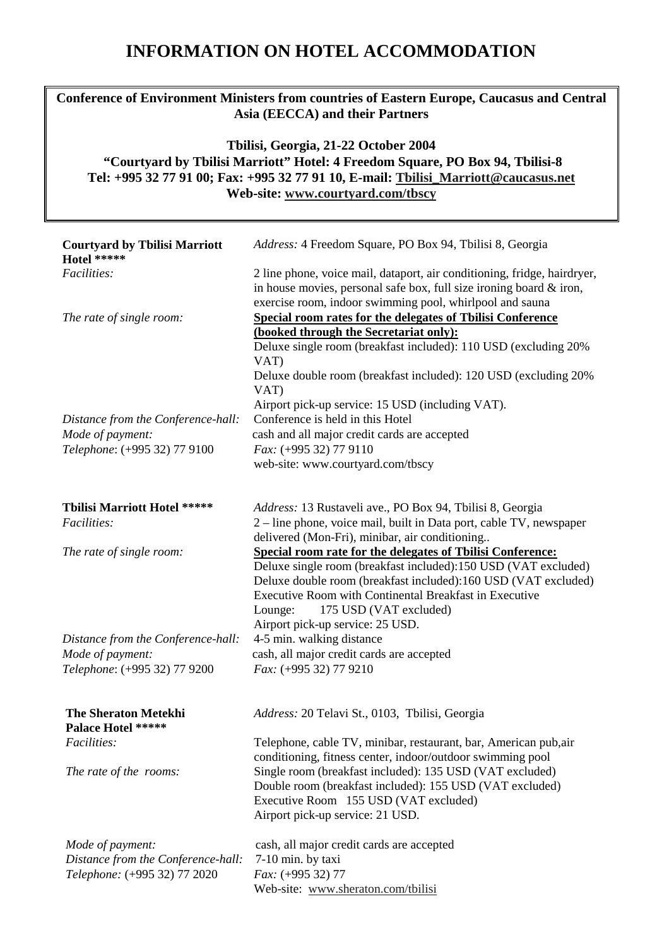# **INFORMATION ON HOTEL ACCOMMODATION**

## **Conference of Environment Ministers from countries of Eastern Europe, Caucasus and Central Asia (EECCA) and their Partners**

## **Tbilisi, Georgia, 21-22 October 2004 "Courtyard by Tbilisi Marriott" Hotel: 4 Freedom Square, PO Box 94, Tbilisi-8 Tel: +995 32 77 91 00; Fax: +995 32 77 91 10, E-mail: Tbilisi\_Marriott@caucasus.net Web-site: www.courtyard.com/tbscy**

| <b>Courtyard by Tbilisi Marriott</b><br>Hotel *****                                    | Address: 4 Freedom Square, PO Box 94, Tbilisi 8, Georgia                                                                                                                                                                                                                                                                          |
|----------------------------------------------------------------------------------------|-----------------------------------------------------------------------------------------------------------------------------------------------------------------------------------------------------------------------------------------------------------------------------------------------------------------------------------|
| Facilities:                                                                            | 2 line phone, voice mail, dataport, air conditioning, fridge, hairdryer,<br>in house movies, personal safe box, full size ironing board $\&$ iron,<br>exercise room, indoor swimming pool, whirlpool and sauna                                                                                                                    |
| The rate of single room:                                                               | <b>Special room rates for the delegates of Tbilisi Conference</b><br>(booked through the Secretariat only):<br>Deluxe single room (breakfast included): 110 USD (excluding 20%<br>VAT)<br>Deluxe double room (breakfast included): 120 USD (excluding 20%<br>VAT)                                                                 |
|                                                                                        | Airport pick-up service: 15 USD (including VAT).<br>Conference is held in this Hotel                                                                                                                                                                                                                                              |
| Distance from the Conference-hall:<br>Mode of payment:                                 | cash and all major credit cards are accepted                                                                                                                                                                                                                                                                                      |
| Telephone: (+995 32) 77 9100                                                           | Fax: (+995 32) 77 9110                                                                                                                                                                                                                                                                                                            |
|                                                                                        | web-site: www.courtyard.com/tbscy                                                                                                                                                                                                                                                                                                 |
| Tbilisi Marriott Hotel *****                                                           | Address: 13 Rustaveli ave., PO Box 94, Tbilisi 8, Georgia                                                                                                                                                                                                                                                                         |
| Facilities:                                                                            | 2 – line phone, voice mail, built in Data port, cable TV, newspaper<br>delivered (Mon-Fri), minibar, air conditioning                                                                                                                                                                                                             |
| The rate of single room:                                                               | Special room rate for the delegates of Tbilisi Conference:<br>Deluxe single room (breakfast included):150 USD (VAT excluded)<br>Deluxe double room (breakfast included):160 USD (VAT excluded)<br>Executive Room with Continental Breakfast in Executive<br>175 USD (VAT excluded)<br>Lounge:<br>Airport pick-up service: 25 USD. |
| Distance from the Conference-hall:                                                     | 4-5 min. walking distance                                                                                                                                                                                                                                                                                                         |
| Mode of payment:                                                                       | cash, all major credit cards are accepted                                                                                                                                                                                                                                                                                         |
| Telephone: (+995 32) 77 9200                                                           | Fax: (+995 32) 77 9210                                                                                                                                                                                                                                                                                                            |
| <b>The Sheraton Metekhi</b><br><b>Palace Hotel *****</b>                               | Address: 20 Telavi St., 0103, Tbilisi, Georgia                                                                                                                                                                                                                                                                                    |
| Facilities:                                                                            | Telephone, cable TV, minibar, restaurant, bar, American pub, air<br>conditioning, fitness center, indoor/outdoor swimming pool                                                                                                                                                                                                    |
| The rate of the rooms:                                                                 | Single room (breakfast included): 135 USD (VAT excluded)<br>Double room (breakfast included): 155 USD (VAT excluded)<br>Executive Room 155 USD (VAT excluded)<br>Airport pick-up service: 21 USD.                                                                                                                                 |
| Mode of payment:<br>Distance from the Conference-hall:<br>Telephone: (+995 32) 77 2020 | cash, all major credit cards are accepted<br>7-10 min. by taxi<br>$Fax: (+995 32) 77$<br>Web-site: www.sheraton.com/tbilisi                                                                                                                                                                                                       |